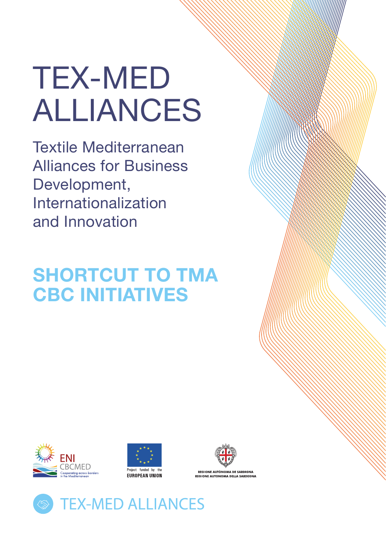# TEX-MED ALLIANCES

Textile Mediterranean Alliances for Business Development, Internationalization and Innovation

# **SHORTCUT TO TMA CBC INITIATIVES**







**PEGIONE AUTÓNOMA DE SAPDIGNA NUTONOMA DELLA:** 

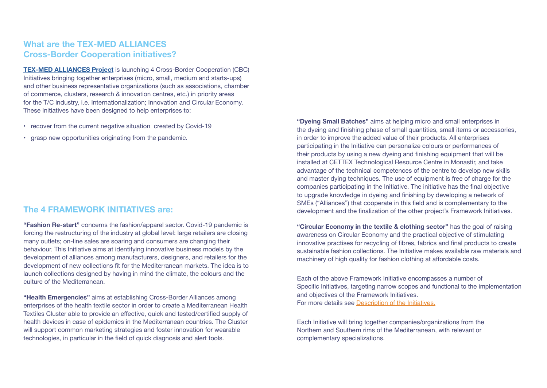# **What are the TEX-MED ALLIANCES Cross-Border Cooperation initiatives?**

**[TEX-MED ALLIANCES Project](http://www.enicbcmed.eu/projects/tex-med-alliances)** is launching 4 Cross-Border Cooperation (CBC) Initiatives bringing together enterprises (micro, small, medium and starts-ups) and other business representative organizations (such as associations, chamber of commerce, clusters, research & innovation centres, etc.) in priority areas for the T/C industry, i.e. Internationalization; Innovation and Circular Economy. These Initiatives have been designed to help enterprises to:

- recover from the current negative situation created by Covid-19
- • grasp new opportunities originating from the pandemic.

#### **The 4 FRAMEWORK INITIATIVES are:**

**"Fashion Re-start"** concerns the fashion/apparel sector. Covid-19 pandemic is forcing the restructuring of the industry at global level: large retailers are closing many outlets; on-line sales are soaring and consumers are changing their behaviour. This Initiative aims at identifying innovative business models by the development of alliances among manufacturers, designers, and retailers for the development of new collections fit for the Mediterranean markets. The idea is to launch collections designed by having in mind the climate, the colours and the culture of the Mediterranean.

**"Health Emergencies"** aims at establishing Cross-Border Alliances among enterprises of the health textile sector in order to create a Mediterranean Health Textiles Cluster able to provide an effective, quick and tested/certified supply of health devices in case of epidemics in the Mediterranean countries. The Cluster will support common marketing strategies and foster innovation for wearable technologies, in particular in the field of quick diagnosis and alert tools.

**"Dyeing Small Batches"** aims at helping micro and small enterprises in the dyeing and finishing phase of small quantities, small items or accessories, in order to improve the added value of their products. All enterprises participating in the Initiative can personalize colours or performances of their products by using a new dyeing and finishing equipment that will be installed at CETTEX Technological Resource Centre in Monastir, and take advantage of the technical competences of the centre to develop new skills and master dying techniques. The use of equipment is free of charge for the companies participating in the Initiative. The initiative has the final objective to upgrade knowledge in dyeing and finishing by developing a network of SMEs ("Alliances") that cooperate in this field and is complementary to the development and the finalization of the other project's Framework Initiatives.

**"Circular Economy in the textile & clothing sector"** has the goal of raising awareness on Circular Economy and the practical objective of stimulating innovative practises for recycling of fibres, fabrics and final products to create sustainable fashion collections. The Initiative makes available raw materials and machinery of high quality for fashion clothing at affordable costs.

Each of the above Framework Initiative encompasses a number of Specific Initiatives, targeting narrow scopes and functional to the implementation and objectives of the Framework Initiatives. For more details see [Description of the Initiatives.](http://www.enicbcmed.eu/sites/default/files/users/user1128/Annex%20A%20Description%20of%20Initiatives.pdf)

Each Initiative will bring together companies/organizations from the Northern and Southern rims of the Mediterranean, with relevant or complementary specializations.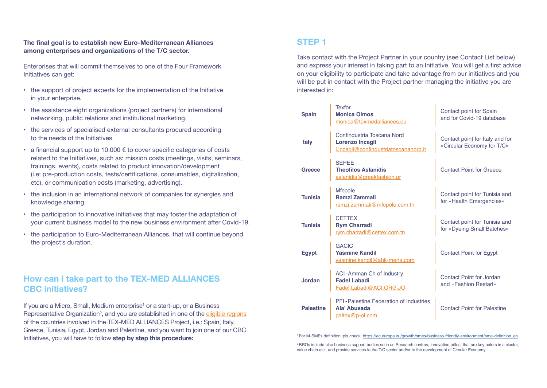#### **The final goal is to establish new Euro-Mediterranean Alliances among enterprises and organizations of the T/C sector.**

Enterprises that will commit themselves to one of the Four Framework Initiatives can get:

- the support of project experts for the implementation of the Initiative in your enterprise.
- the assistance eight organizations (project partners) for international networking, public relations and institutional marketing.
- the services of specialised external consultants procured according to the needs of the Initiatives.
- a financial support up to 10.000  $\epsilon$  to cover specific categories of costs related to the Initiatives, such as: mission costs (meetings, visits, seminars, trainings, events), costs related to product innovation/development (i.e: pre-production costs, tests/certifications, consumables, digitalization, etc), or communication costs (marketing, advertising).
- • the inclusion in an international network of companies for synergies and knowledge sharing.
- • the participation to innovative initiatives that may foster the adaptation of your current business model to the new business environment after Covid-19.
- • the participation to Euro-Mediterranean Alliances, that will continue beyond the project's duration.

## **How can I take part to the TEX-MED ALLIANCES CBC initiatives?**

If you are a Micro, Small, Medium enterprise<sup>1</sup> or a start-up, or a Business Representative Organization<sup>2</sup>, and you are established in one of the <u>eligible regions</u> of the countries involved in the TEX-MED ALLIANCES Project, i.e.: Spain, Italy, Greece, Tunisia, Egypt, Jordan and Palestine, and you want to join one of our CBC Initiatives, you will have to follow step by step this procedure: 1999 and the step is a step to this procedure:

# STEP 1

Take contact with the Project Partner in your country (see Contact List below) and express your interest in taking part to an Initiative. You will get a first advice on your eligibility to participate and take advantage from our initiatives and you will be put in contact with the Project partner managing the initiative you are interested in:

| <b>Spain</b>     | <b>Texfor</b><br><b>Monica Olmos</b><br>monica@texmedalliances.eu                      | Contact point for Spain<br>and for Covid-19 database          |
|------------------|----------------------------------------------------------------------------------------|---------------------------------------------------------------|
| taly             | Confindustria Toscana Nord<br>Lorenzo Incagli<br>l.incagli@confindustriatoscananord.it | Contact point for Italy and for<br>«Circular Economy for T/C» |
| <b>Greece</b>    | <b>SEPEE</b><br><b>Theofilos Aslanidis</b><br>aslanidis@greekfashion.gr                | <b>Contact Point for Greece</b>                               |
| <b>Tunisia</b>   | <b>Mfcpole</b><br><b>Ramzi Zammali</b><br>ramzi.zammali@mfcpole.com.tn                 | Contact point for Tunisia and<br>for «Health Emergencies»     |
| <b>Tunisia</b>   | <b>CETTEX</b><br><b>Rym Charradi</b><br>rym.charradi@cettex.com.tn                     | Contact point for Tunisia and<br>for «Dyeing Small Batches»   |
| <b>Egypt</b>     | <b>GACIC</b><br><b>Yasmine Kandil</b><br>yasmine.kandil@ahk-mena.com                   | <b>Contact Point for Egypt</b>                                |
| Jordan           | ACI-Amman Ch of Industry<br><b>Fadel Labadi</b><br>Fadel.Labadi@ACI.ORG.JO             | Contact Point for Jordan<br>and «Fashion Restart»             |
| <b>Palestine</b> | PFI-Palestine Federation of Industries<br>Ala' Abusada<br>paltex@p-ol.com              | <b>Contact Point for Palestine</b>                            |

<sup>2</sup>BROs include also business support bodies such as Research centres, Innovation pôles, that are key actors in a cluster, value chain etc., and provide services to the T/C sector and/or to the development of Circular Economy.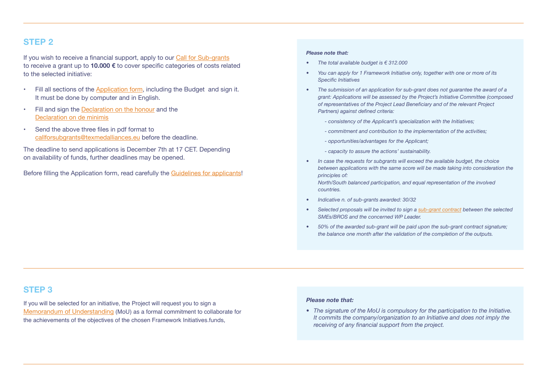# STEP<sub>2</sub>

If you wish to receive a financial support, apply to our [Call for Sub-grants](http://www.enicbcmed.eu/opportunities/business-creation/tex-med-alliances)  to receive a grant up to **10.000 €** to cover specific categories of costs related to the selected initiative:

- Fill all sections of the [Application form,](http://www.enicbcmed.eu/sites/default/files/users/user1128/Annex%20B%20Subgrant%20Application%20Form.pdf) including the Budget and sign it. It must be done by computer and in English.
- • Fill and sign the [Declaration on the honour](http://www.enicbcmed.eu/sites/default/files/users/user1128/Annex%20C%20Subgrants%20declaration%20of%20honour.pdf) and the [Declaration on de minimis](http://www.enicbcmed.eu/sites/default/files/users/user1128/Annex%20D_Deminimis%20declaration%20for%20subgrantee.pdf)
- • Send the above three files in pdf format to [callforsubgrants@texmedalliances.eu](mailto:callforsubgrants%40texmedalliances.eu?subject=) before the deadline.

The deadline to send applications is December 7th at 17 CET. Depending on availability of funds, further deadlines may be opened.

Before filling the Application form, read carefully the [Guidelines for applicants!](http://www.enicbcmed.eu/sites/default/files/users/user1128/Guidelines%20for%20sub-grants.pdf)

#### *Please note that:*

- *• The total available budget is € 312.000*
- *• You can apply for 1 Framework Initiative only, together with one or more of its Specific Initiatives*
- The submission of an application for sub-grant does not guarantee the award of a *grant: Applications will be assessed by the Project's Initiative Committee (composed of representatives of the Project Lead Beneficiary and of the relevant Project Partners) against defined criteria:*
	- *consistency of the Applicant's specialization with the Initiatives;*
	- *commitment and contribution to the implementation of the activities;*
	- *opportunities/advantages for the Applicant;*
	- *capacity to assure the actions' sustainability.*
- *• In case the requests for subgrants will exceed the available budget, the choice between applications with the same score will be made taking into consideration the principles of: North/South balanced participation, and equal representation of the involved*

*countries.*

- *• Indicative n. of sub-grants awarded: 30/32*
- *• Selected proposals will be invited to sign a [sub-grant contract](http://www.enicbcmed.eu/sites/default/files/users/user1128/Annex%20F_Sub-grant%20contract.pdf) between the selected SMEs/BROS and the concerned WP Leader.*
- *• 50% of the awarded sub-grant will be paid upon the sub-grant contract signature; the balance one month after the validation of the completion of the outputs.*

### STEP 3

If you will be selected for an initiative, the Project will request you to sign a [Memorandum of Understanding](http://www.enicbcmed.eu/sites/default/files/users/user1128/Annex%20E_Template_MoU.pdf) (MoU) as a formal commitment to collaborate for the achievements of the objectives of the chosen Framework Initiatives.funds,

#### *Please note that:*

*• The signature of the MoU is compulsory for the participation to the Initiative. It commits the company/organization to an Initiative and does not imply the receiving of any financial support from the project.*